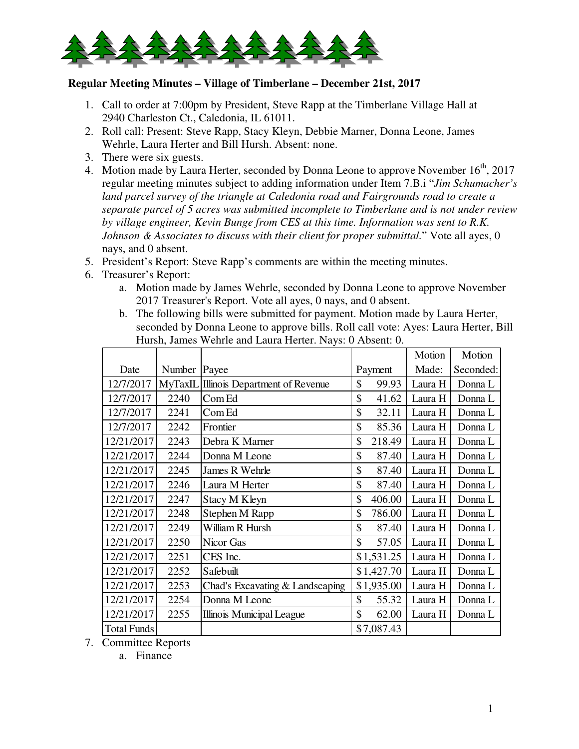

## **Regular Meeting Minutes – Village of Timberlane – December 21st, 2017**

- 1. Call to order at 7:00pm by President, Steve Rapp at the Timberlane Village Hall at 2940 Charleston Ct., Caledonia, IL 61011.
- 2. Roll call: Present: Steve Rapp, Stacy Kleyn, Debbie Marner, Donna Leone, James Wehrle, Laura Herter and Bill Hursh. Absent: none.
- 3. There were six guests.
- 4. Motion made by Laura Herter, seconded by Donna Leone to approve November  $16<sup>th</sup>$ , 2017 regular meeting minutes subject to adding information under Item 7.B.i "*Jim Schumacher's land parcel survey of the triangle at Caledonia road and Fairgrounds road to create a separate parcel of 5 acres was submitted incomplete to Timberlane and is not under review by village engineer, Kevin Bunge from CES at this time. Information was sent to R.K. Johnson & Associates to discuss with their client for proper submittal.*" Vote all ayes, 0 nays, and 0 absent.
- 5. President's Report: Steve Rapp's comments are within the meeting minutes.
- 6. Treasurer's Report:
	- a. Motion made by James Wehrle, seconded by Donna Leone to approve November 2017 Treasurer's Report. Vote all ayes, 0 nays, and 0 absent.
	- b. The following bills were submitted for payment. Motion made by Laura Herter, seconded by Donna Leone to approve bills. Roll call vote: Ayes: Laura Herter, Bill Hursh, James Wehrle and Laura Herter. Nays: 0 Absent: 0.

|                    |                |                                 |              | Motion  | Motion    |
|--------------------|----------------|---------------------------------|--------------|---------|-----------|
| Date               | Number         | Payee                           | Payment      | Made:   | Seconded: |
| 12/7/2017          | <b>MyTaxIL</b> | Illinois Department of Revenue  | \$<br>99.93  | Laura H | Donna L   |
| 12/7/2017          | 2240           | Com Ed                          | \$<br>41.62  | Laura H | Donna L   |
| 12/7/2017          | 2241           | Com Ed                          | \$<br>32.11  | Laura H | Donna L   |
| 12/7/2017          | 2242           | Frontier                        | \$<br>85.36  | Laura H | Donna L   |
| 12/21/2017         | 2243           | Debra K Marner                  | \$<br>218.49 | Laura H | Donna L   |
| 12/21/2017         | 2244           | Donna M Leone                   | \$<br>87.40  | Laura H | Donna L   |
| 12/21/2017         | 2245           | James R Wehrle                  | \$<br>87.40  | Laura H | Donna L   |
| 12/21/2017         | 2246           | Laura M Herter                  | \$<br>87.40  | Laura H | Donna L   |
| 12/21/2017         | 2247           | <b>Stacy M Kleyn</b>            | \$<br>406.00 | Laura H | Donna L   |
| 12/21/2017         | 2248           | Stephen M Rapp                  | \$<br>786.00 | Laura H | Donna L   |
| 12/21/2017         | 2249           | William R Hursh                 | \$<br>87.40  | Laura H | Donna L   |
| 12/21/2017         | 2250           | Nicor Gas                       | \$<br>57.05  | Laura H | Donna L   |
| 12/21/2017         | 2251           | CES Inc.                        | \$1,531.25   | Laura H | Donna L   |
| 12/21/2017         | 2252           | Safebuilt                       | \$1,427.70   | Laura H | Donna L   |
| 12/21/2017         | 2253           | Chad's Excavating & Landscaping | \$1,935.00   | Laura H | Donna L   |
| 12/21/2017         | 2254           | Donna M Leone                   | \$<br>55.32  | Laura H | Donna L   |
| 12/21/2017         | 2255           | Illinois Municipal League       | \$<br>62.00  | Laura H | Donna L   |
| <b>Total Funds</b> |                |                                 | \$7,087.43   |         |           |

7. Committee Reports

a. Finance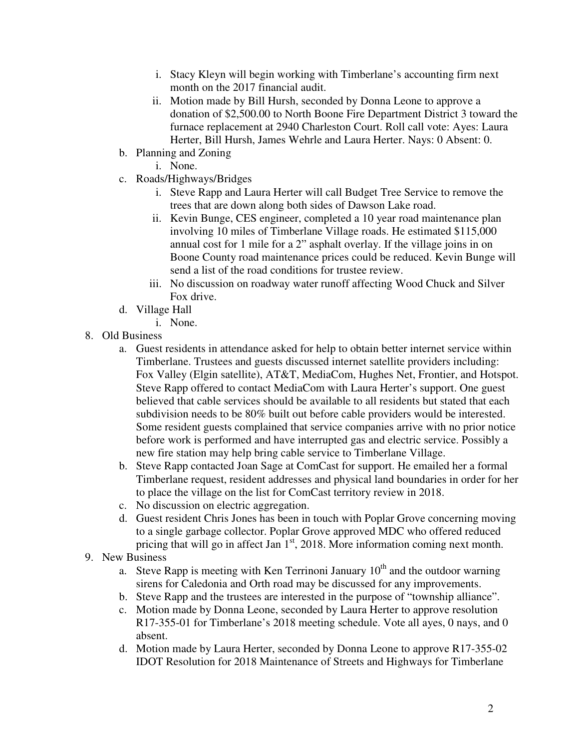- i. Stacy Kleyn will begin working with Timberlane's accounting firm next month on the 2017 financial audit.
- ii. Motion made by Bill Hursh, seconded by Donna Leone to approve a donation of \$2,500.00 to North Boone Fire Department District 3 toward the furnace replacement at 2940 Charleston Court. Roll call vote: Ayes: Laura Herter, Bill Hursh, James Wehrle and Laura Herter. Nays: 0 Absent: 0.
- b. Planning and Zoning
	- i. None.
- c. Roads/Highways/Bridges
	- i. Steve Rapp and Laura Herter will call Budget Tree Service to remove the trees that are down along both sides of Dawson Lake road.
	- ii. Kevin Bunge, CES engineer, completed a 10 year road maintenance plan involving 10 miles of Timberlane Village roads. He estimated \$115,000 annual cost for 1 mile for a 2" asphalt overlay. If the village joins in on Boone County road maintenance prices could be reduced. Kevin Bunge will send a list of the road conditions for trustee review.
	- iii. No discussion on roadway water runoff affecting Wood Chuck and Silver Fox drive.
- d. Village Hall
	- i. None.
- 8. Old Business
	- a. Guest residents in attendance asked for help to obtain better internet service within Timberlane. Trustees and guests discussed internet satellite providers including: Fox Valley (Elgin satellite), AT&T, MediaCom, Hughes Net, Frontier, and Hotspot. Steve Rapp offered to contact MediaCom with Laura Herter's support. One guest believed that cable services should be available to all residents but stated that each subdivision needs to be 80% built out before cable providers would be interested. Some resident guests complained that service companies arrive with no prior notice before work is performed and have interrupted gas and electric service. Possibly a new fire station may help bring cable service to Timberlane Village.
	- b. Steve Rapp contacted Joan Sage at ComCast for support. He emailed her a formal Timberlane request, resident addresses and physical land boundaries in order for her to place the village on the list for ComCast territory review in 2018.
	- c. No discussion on electric aggregation.
	- d. Guest resident Chris Jones has been in touch with Poplar Grove concerning moving to a single garbage collector. Poplar Grove approved MDC who offered reduced pricing that will go in affect Jan  $1<sup>st</sup>$ , 2018. More information coming next month.
- 9. New Business
	- a. Steve Rapp is meeting with Ken Terrinoni January  $10<sup>th</sup>$  and the outdoor warning sirens for Caledonia and Orth road may be discussed for any improvements.
	- b. Steve Rapp and the trustees are interested in the purpose of "township alliance".
	- c. Motion made by Donna Leone, seconded by Laura Herter to approve resolution R17-355-01 for Timberlane's 2018 meeting schedule. Vote all ayes, 0 nays, and 0 absent.
	- d. Motion made by Laura Herter, seconded by Donna Leone to approve R17-355-02 IDOT Resolution for 2018 Maintenance of Streets and Highways for Timberlane